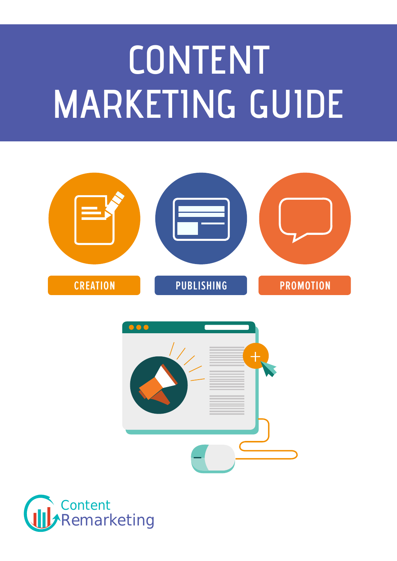# **CONTENT MARKETING GUIDE**





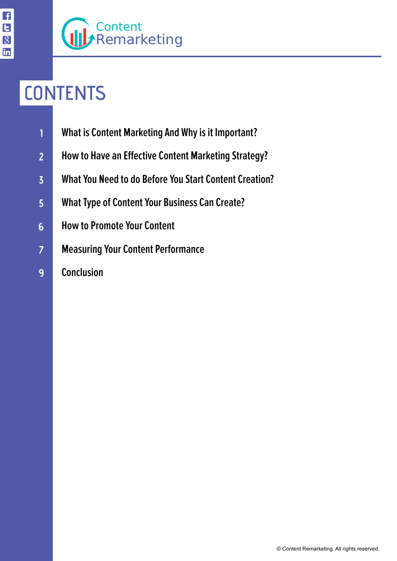# **CONTENTS**

- **[What is Content Marketing And Why is it Important?](#page-2-0) 1**
- **[How to Have an Effective Content Marketing Strategy?](#page-4-0) 2**
- **[What You Need to do Before You Start Content Creation?](#page-6-0) 3**
- **[What Type of Content Your Business Can Create?](#page-8-0) 5**
- **[How to Promote Your Content](#page-10-0) 6**
- **[Measuring Your Content Performance](#page-11-0) 7**
	- **[Conclusion](#page-12-0)**

**9**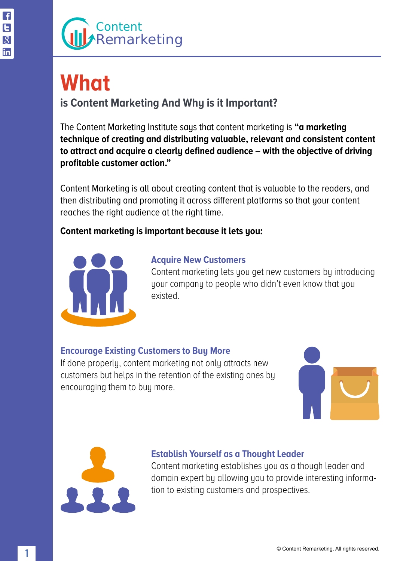# <span id="page-2-0"></span>**What**

### **is Content Marketing And Why is it Important?**

The Content Marketing Institute says that content marketing is **"a marketing technique of creating and distributing valuable, relevant and consistent content to attract and acquire a clearly defined audience – with the objective of driving profitable customer action."**

Content Marketing is all about creating content that is valuable to the readers, and then distributing and promoting it across different platforms so that your content reaches the right audience at the right time.

### **Content marketing is important because it lets you:**



#### **Acquire New Customers**

Content marketing lets you get new customers by introducing your company to people who didn't even know that you existed.

### **Encourage Existing Customers to Buy More**

If done properly, content marketing not only attracts new customers but helps in the retention of the existing ones by encouraging them to buy more.





### **Establish Yourself as a Thought Leader**

Content marketing establishes you as a though leader and domain expert by allowing you to provide interesting information to existing customers and prospectives.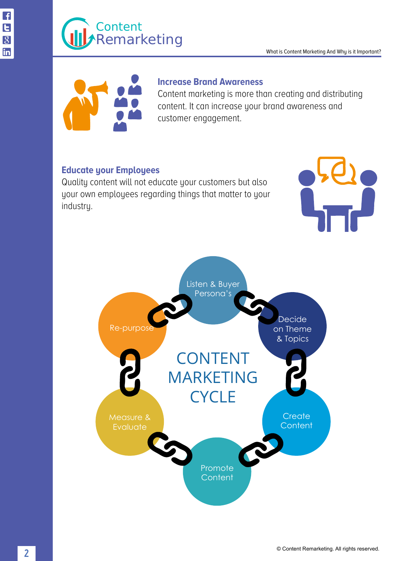#### What is Content Marketing And Why is it Important?



#### **Increase Brand Awareness**

Content marketing is more than creating and distributing content. It can increase your brand awareness and customer engagement.

#### **Educate your Employees**

Quality content will not educate your customers but also your own employees regarding things that matter to your industry.



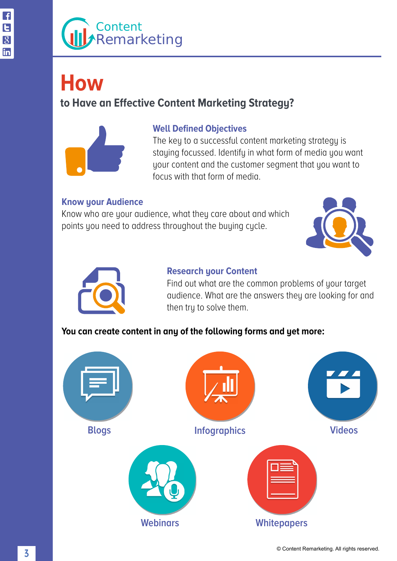## <span id="page-4-0"></span>**How**

### **to Have an Effective Content Marketing Strategy?**



#### **Well Defined Objectives**

The key to a successful content marketing strategy is staying focussed. Identify in what form of media you want your content and the customer segment that you want to focus with that form of media.

### **Know your Audience**

Know who are your audience, what they care about and which points you need to address throughout the buying cycle.





#### **Research your Content**

Find out what are the common problems of your target audience. What are the answers they are looking for and then try to solve them.

### **You can create content in any of the following forms and yet more:**

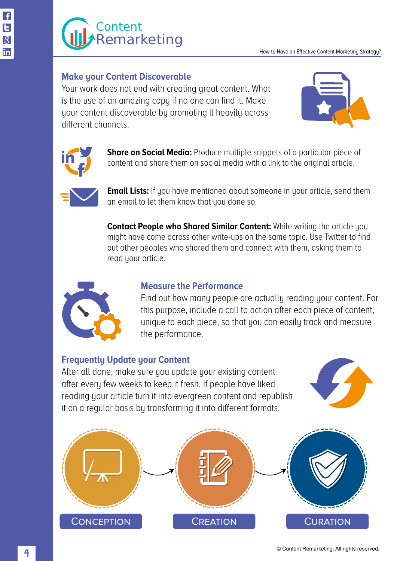

#### How to Have an Effective Content Marketing Strategy?

#### **Make your Content Discoverable**

Your work does not end with creating great content. What is the use of an amazing copy if no one can find it. Make your content discoverable by promoting it heavily across different channels.





**Share on Social Media:** Produce multiple snippets of a particular piece of content and share them on social media with a link to the original article.



**Email Lists:** If you have mentioned about someone in your article, send them an email to let them know that you done so.

**Contact People who Shared Similar Content:** While writing the article you might have come across other write-ups on the same topic. Use Twitter to find out other peoples who shared them and connect with them, asking them to read your article.



#### **Measure the Performance**

Find out how many people are actually reading your content. For this purpose, include a call to action after each piece of content, unique to each piece, so that you can easily track and measure the performance.

#### **Frequently Update your Content**

After all done, make sure you update your existing content after every few weeks to keep it fresh. If people have liked reading your article turn it into evergreen content and republish it on a regular basis by transforming it into different formats.



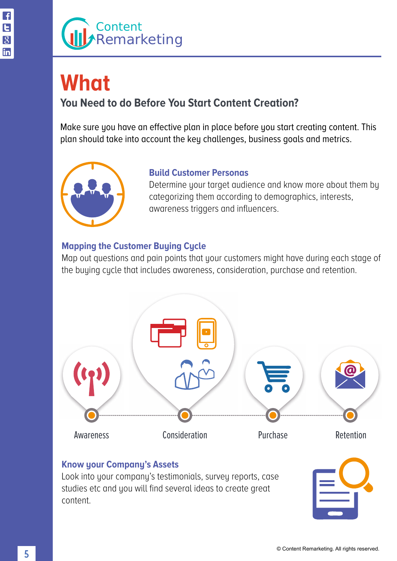### <span id="page-6-0"></span>**What You Need to do Before You Start Content Creation?**

Make sure you have an effective plan in place before you start creating content. This plan should take into account the key challenges, business goals and metrics.



### **Build Customer Personas**

Determine your target audience and know more about them by categorizing them according to demographics, interests, awareness triggers and influencers.

### **Mapping the Customer Buying Cycle**

Map out questions and pain points that your customers might have during each stage of the buying cycle that includes awareness, consideration, purchase and retention.



### **Know your Company's Assets**

Look into your company's testimonials, survey reports, case studies etc and you will find several ideas to create great content.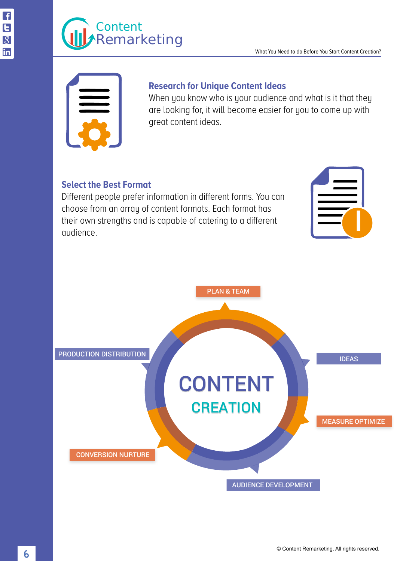

#### **Research for Unique Content Ideas**

When you know who is your audience and what is it that they are looking for, it will become easier for you to come up with great content ideas.

#### **Select the Best Format**

Different people prefer information in different forms. You can choose from an array of content formats. Each format has their own strengths and is capable of catering to a different audience.

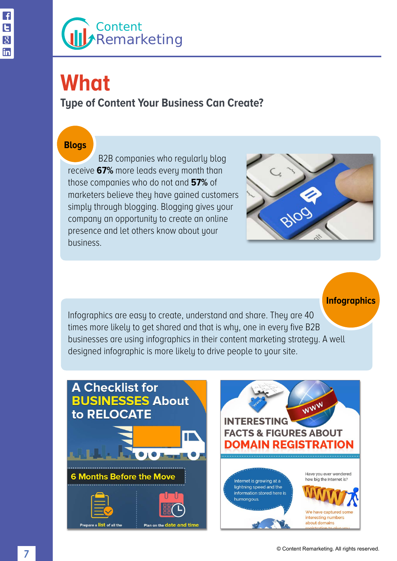# <span id="page-8-0"></span>**What**

**Type of Content Your Business Can Create?**

#### **Blogs**

 B2B companies who regularly blog receive **67%** more leads every month than those companies who do not and **57%** of marketers believe they have gained customers simply through blogging. Blogging gives your company an opportunity to create an online presence and let others know about your business.



**Infographics**

Infographics are easy to create, understand and share. They are 40 times more likely to get shared and that is why, one in every five B2B businesses are using infographics in their content marketing strategy. A well designed infographic is more likely to drive people to your site.



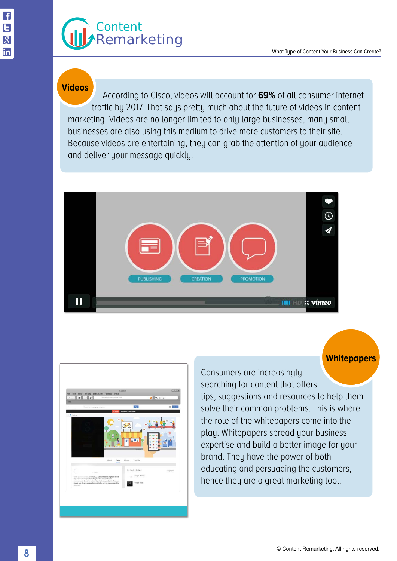#### **Videos**

 According to Cisco, videos will account for **69%** of all consumer internet traffic by 2017. That says pretty much about the future of videos in content marketing. Videos are no longer limited to only large businesses, many small businesses are also using this medium to drive more customers to their site. Because videos are entertaining, they can grab the attention of your audience and deliver your message quickly.





Consumers are increasingly searching for content that offers tips, suggestions and resources to help them solve their common problems. This is where the role of the whitepapers come into the play. Whitepapers spread your business expertise and build a better image for your brand. They have the power of both educating and persuading the customers, hence they are a great marketing tool.

**Whitepapers**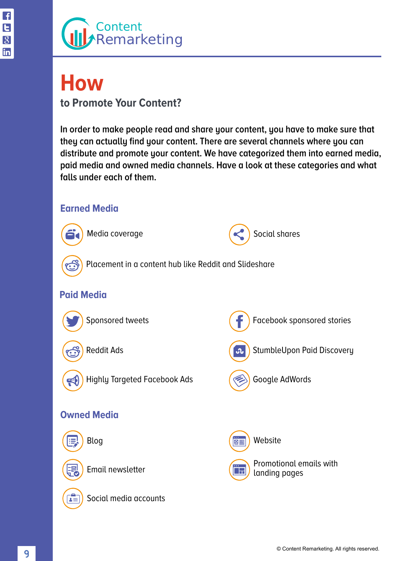### <span id="page-10-0"></span>**How to Promote Your Content?**

**In order to make people read and share your content, you have to make sure that they can actually find your content. There are several channels where you can distribute and promote your content. We have categorized them into earned media, paid media and owned media channels. Have a look at these categories and what falls under each of them.**

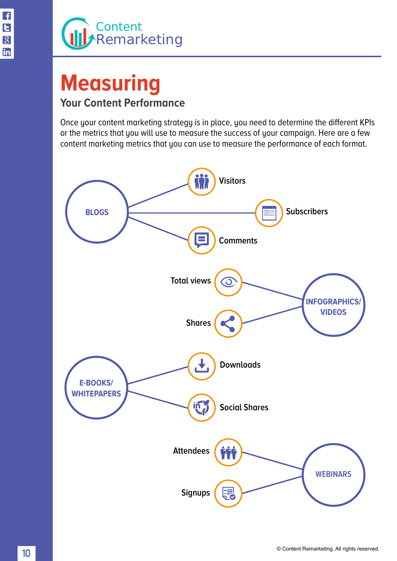### <span id="page-11-0"></span>**Measuring Your Content Performance**

Once your content marketing strategy is in place, you need to determine the different KPIs or the metrics that you will use to measure the success of your campaign. Here are a few content marketing metrics that you can use to measure the performance of each format.

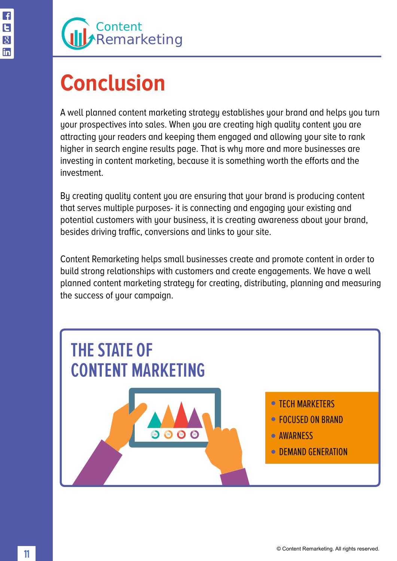# <span id="page-12-0"></span>**Conclusion**

A well planned content marketing strategy establishes your brand and helps you turn your prospectives into sales. When you are creating high quality content you are attracting your readers and keeping them engaged and allowing your site to rank higher in search engine results page. That is why more and more businesses are investing in content marketing, because it is something worth the efforts and the investment.

By creating quality content you are ensuring that your brand is producing content that serves multiple purposes- it is connecting and engaging your existing and potential customers with your business, it is creating awareness about your brand, besides driving traffic, conversions and links to your site.

Content Remarketing helps small businesses create and promote content in order to build strong relationships with customers and create engagements. We have a well planned content marketing strategy for creating, distributing, planning and measuring the success of your campaign.